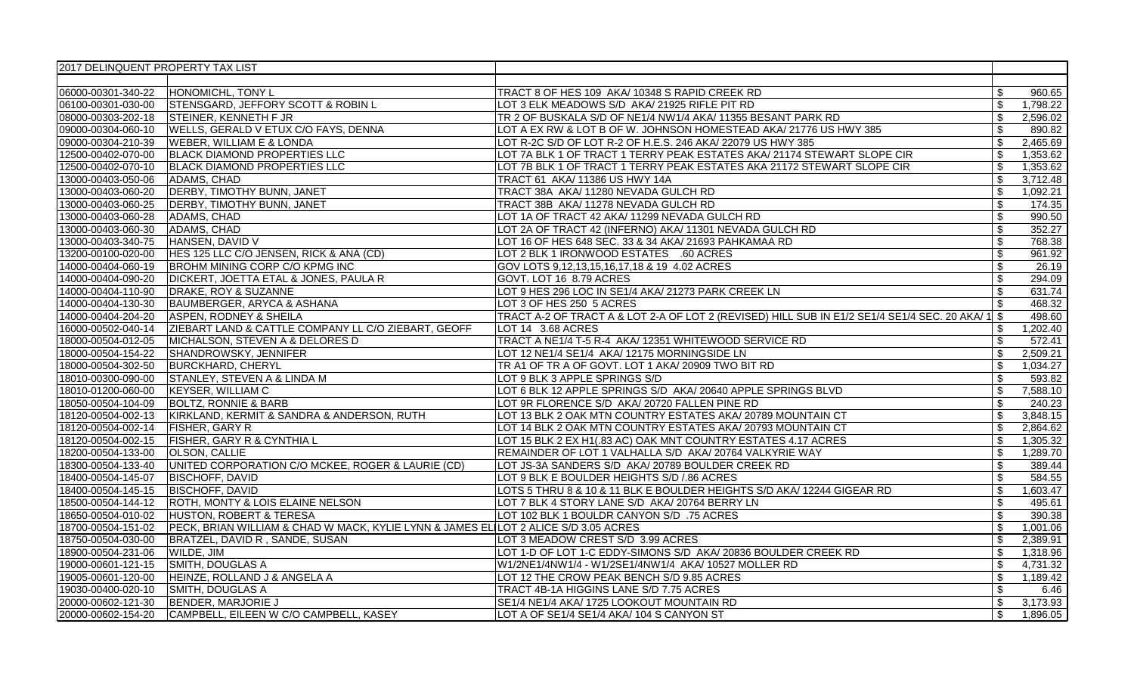| 2017 DELINQUENT PROPERTY TAX LIST |                                                                                     |                                                                                                  |                           |          |
|-----------------------------------|-------------------------------------------------------------------------------------|--------------------------------------------------------------------------------------------------|---------------------------|----------|
|                                   |                                                                                     |                                                                                                  |                           |          |
| 06000-00301-340-22                | HONOMICHL, TONY L                                                                   | TRACT 8 OF HES 109 AKA/ 10348 S RAPID CREEK RD                                                   | \$                        | 960.65   |
| 06100-00301-030-00                | STENSGARD, JEFFORY SCOTT & ROBIN L                                                  | LOT 3 ELK MEADOWS S/D AKA/ 21925 RIFLE PIT RD                                                    | $\mathfrak{S}$            | 1,798.22 |
| 08000-00303-202-18                | STEINER, KENNETH F JR                                                               | TR 2 OF BUSKALA S/D OF NE1/4 NW1/4 AKA/ 11355 BESANT PARK RD                                     | $\mathbb{S}$              | 2,596.02 |
| 09000-00304-060-10                | WELLS, GERALD V ETUX C/O FAYS, DENNA                                                | LOT A EX RW & LOT B OF W. JOHNSON HOMESTEAD AKA/ 21776 US HWY 385                                | $\mathcal{L}$             | 890.82   |
| 09000-00304-210-39                | <b>WEBER, WILLIAM E &amp; LONDA</b>                                                 | LOT R-2C S/D OF LOT R-2 OF H.E.S. 246 AKA/ 22079 US HWY 385                                      | \$                        | 2,465.69 |
| 12500-00402-070-00                | <b>BLACK DIAMOND PROPERTIES LLC</b>                                                 | LOT 7A BLK 1 OF TRACT 1 TERRY PEAK ESTATES AKA/ 21174 STEWART SLOPE CIR                          | $$\mathbb{S}$$            | 1,353.62 |
| 12500-00402-070-10                | <b>BLACK DIAMOND PROPERTIES LLC</b>                                                 | LOT 7B BLK 1 OF TRACT 1 TERRY PEAK ESTATES AKA 21172 STEWART SLOPE CIR                           | \$                        | 1,353.62 |
| 13000-00403-050-06                | ADAMS, CHAD                                                                         | TRACT 61 AKA/ 11386 US HWY 14A                                                                   | \$                        | 3,712.48 |
| 13000-00403-060-20                | <b>DERBY, TIMOTHY BUNN, JANET</b>                                                   | TRACT 38A AKA/ 11280 NEVADA GULCH RD                                                             | $\overline{\mathbb{S}}$   | 1,092.21 |
| 13000-00403-060-25                | DERBY, TIMOTHY BUNN, JANET                                                          | TRACT 38B AKA/ 11278 NEVADA GULCH RD                                                             | \$                        | 174.35   |
| 13000-00403-060-28                | <b>ADAMS, CHAD</b>                                                                  | LOT 1A OF TRACT 42 AKA/ 11299 NEVADA GULCH RD                                                    | $\mathfrak{S}$            | 990.50   |
| 13000-00403-060-30                | ADAMS, CHAD                                                                         | LOT 2A OF TRACT 42 (INFERNO) AKA/ 11301 NEVADA GULCH RD                                          | $\mathfrak{S}$            | 352.27   |
| 13000-00403-340-75                | HANSEN, DAVID V                                                                     | LOT 16 OF HES 648 SEC. 33 & 34 AKA/ 21693 PAHKAMAA RD                                            | \$                        | 768.38   |
| 13200-00100-020-00                | HES 125 LLC C/O JENSEN, RICK & ANA (CD)                                             | LOT 2 BLK 1 IRONWOOD ESTATES .60 ACRES                                                           | $\mathfrak{S}$            | 961.92   |
| 14000-00404-060-19                | BROHM MINING CORP C/O KPMG INC                                                      | GOV LOTS 9,12,13,15,16,17,18 & 19 4.02 ACRES                                                     | $\sqrt[6]{3}$             | 26.19    |
| 14000-00404-090-20                | DICKERT, JOETTA ETAL & JONES, PAULA R                                               | GOVT. LOT 16 8.79 ACRES                                                                          | $\mathfrak{S}$            | 294.09   |
| 14000-00404-110-90                | DRAKE, ROY & SUZANNE                                                                | LOT 9 HES 296 LOC IN SE1/4 AKA/ 21273 PARK CREEK LN                                              | $\mathbb{S}$              | 631.74   |
| 14000-00404-130-30                | BAUMBERGER, ARYCA & ASHANA                                                          | LOT 3 OF HES 250 5 ACRES                                                                         |                           | 468.32   |
| 14000-00404-204-20                | ASPEN, RODNEY & SHEILA                                                              | TRACT A-2 OF TRACT A & LOT 2-A OF LOT 2 (REVISED) HILL SUB IN E1/2 SE1/4 SE1/4 SEC. 20 AKA/ 1 \$ |                           | 498.60   |
| 16000-00502-040-14                | ZIEBART LAND & CATTLE COMPANY LL C/O ZIEBART, GEOFF                                 | LOT 14 3.68 ACRES                                                                                | \$                        | 1,202.40 |
| 18000-00504-012-05                | MICHALSON, STEVEN A & DELORES D                                                     | TRACT A NE1/4 T-5 R-4 AKA/ 12351 WHITEWOOD SERVICE RD                                            | $\mathfrak{S}$            | 572.41   |
| 18000-00504-154-22                | SHANDROWSKY, JENNIFER                                                               | LOT 12 NE1/4 SE1/4 AKA/ 12175 MORNINGSIDE LN                                                     | $\mathbb{S}$              | 2,509.21 |
| 18000-00504-302-50                | <b>BURCKHARD, CHERYL</b>                                                            | TR A1 OF TR A OF GOVT. LOT 1 AKA/ 20909 TWO BIT RD                                               | \$                        | 1,034.27 |
| 18010-00300-090-00                | STANLEY, STEVEN A & LINDA M                                                         | LOT 9 BLK 3 APPLE SPRINGS S/D                                                                    | $\mathfrak s$             | 593.82   |
| 18010-01200-060-00                | KEYSER, WILLIAM C                                                                   | LOT 6 BLK 12 APPLE SPRINGS S/D AKA/ 20640 APPLE SPRINGS BLVD                                     | \$                        | 7,588.10 |
| 18050-00504-104-09                | <b>BOLTZ, RONNIE &amp; BARB</b>                                                     | LOT 9R FLORENCE S/D AKA/ 20720 FALLEN PINE RD                                                    | \$                        | 240.23   |
| 18120-00504-002-13                | KIRKLAND, KERMIT & SANDRA & ANDERSON, RUTH                                          | LOT 13 BLK 2 OAK MTN COUNTRY ESTATES AKA/ 20789 MOUNTAIN CT                                      | $\boldsymbol{\mathsf{S}}$ | 3,848.15 |
| 18120-00504-002-14                | FISHER, GARY R                                                                      | LOT 14 BLK 2 OAK MTN COUNTRY ESTATES AKA/ 20793 MOUNTAIN CT                                      | \$                        | 2,864.62 |
| 18120-00504-002-15                | FISHER, GARY R & CYNTHIA L                                                          | LOT 15 BLK 2 EX H1(.83 AC) OAK MNT COUNTRY ESTATES 4.17 ACRES                                    | $\mathbb{S}$              | 1,305.32 |
| 18200-00504-133-00                | <b>OLSON, CALLIE</b>                                                                | REMAINDER OF LOT 1 VALHALLA S/D AKA/ 20764 VALKYRIE WAY                                          | $\mathfrak{S}$            | 1,289.70 |
| 18300-00504-133-40                | UNITED CORPORATION C/O MCKEE, ROGER & LAURIE (CD)                                   | LOT JS-3A SANDERS S/D AKA/ 20789 BOULDER CREEK RD                                                | \$                        | 389.44   |
| 18400-00504-145-07                | <b>BISCHOFF, DAVID</b>                                                              | LOT 9 BLK E BOULDER HEIGHTS S/D / 86 ACRES                                                       | \$                        | 584.55   |
| 18400-00504-145-15                | <b>BISCHOFF, DAVID</b>                                                              | LOTS 5 THRU 8 & 10 & 11 BLK E BOULDER HEIGHTS S/D AKA/ 12244 GIGEAR RD                           | $\boldsymbol{\mathsf{S}}$ | 1,603.47 |
| 18500-00504-144-12                | ROTH, MONTY & LOIS ELAINE NELSON                                                    | LOT 7 BLK 4 STORY LANE S/D AKA/ 20764 BERRY LN                                                   | \$                        | 495.61   |
| 18650-00504-010-02                | HUSTON, ROBERT & TERESA                                                             | LOT 102 BLK 1 BOULDR CANYON S/D .75 ACRES                                                        | $\mathbb{S}$              | 390.38   |
| 18700-00504-151-02                | PECK, BRIAN WILLIAM & CHAD W MACK, KYLIE LYNN & JAMES ELILOT 2 ALICE S/D 3.05 ACRES |                                                                                                  | $\mathbb{S}$              | 1,001.06 |
| 18750-00504-030-00                | BRATZEL, DAVID R, SANDE, SUSAN                                                      | LOT 3 MEADOW CREST S/D 3.99 ACRES                                                                | \$                        | 2,389.91 |
| 18900-00504-231-06                | WILDE, JIM                                                                          | LOT 1-D OF LOT 1-C EDDY-SIMONS S/D AKA/ 20836 BOULDER CREEK RD                                   | \$                        | 1,318.96 |
| 19000-00601-121-15                | SMITH, DOUGLAS A                                                                    | W1/2NE1/4NW1/4 - W1/2SE1/4NW1/4 AKA/ 10527 MOLLER RD                                             | $\mathfrak{S}$            | 4,731.32 |
| 19005-00601-120-00                | HEINZE, ROLLAND J & ANGELA A                                                        | LOT 12 THE CROW PEAK BENCH S/D 9.85 ACRES                                                        | \$                        | 1,189.42 |
| 19030-00400-020-10                | SMITH, DOUGLAS A                                                                    | TRACT 4B-1A HIGGINS LANE S/D 7.75 ACRES                                                          | $\mathbb{S}$              | 6.46     |
| 20000-00602-121-30                | BENDER, MARJORIE J                                                                  | SE1/4 NE1/4 AKA/ 1725 LOOKOUT MOUNTAIN RD                                                        | $\mathfrak{S}$            | 3,173.93 |
| 20000-00602-154-20                | CAMPBELL, EILEEN W C/O CAMPBELL, KASEY                                              | LOT A OF SE1/4 SE1/4 AKA/ 104 S CANYON ST                                                        | \$                        | 1,896.05 |
|                                   |                                                                                     |                                                                                                  |                           |          |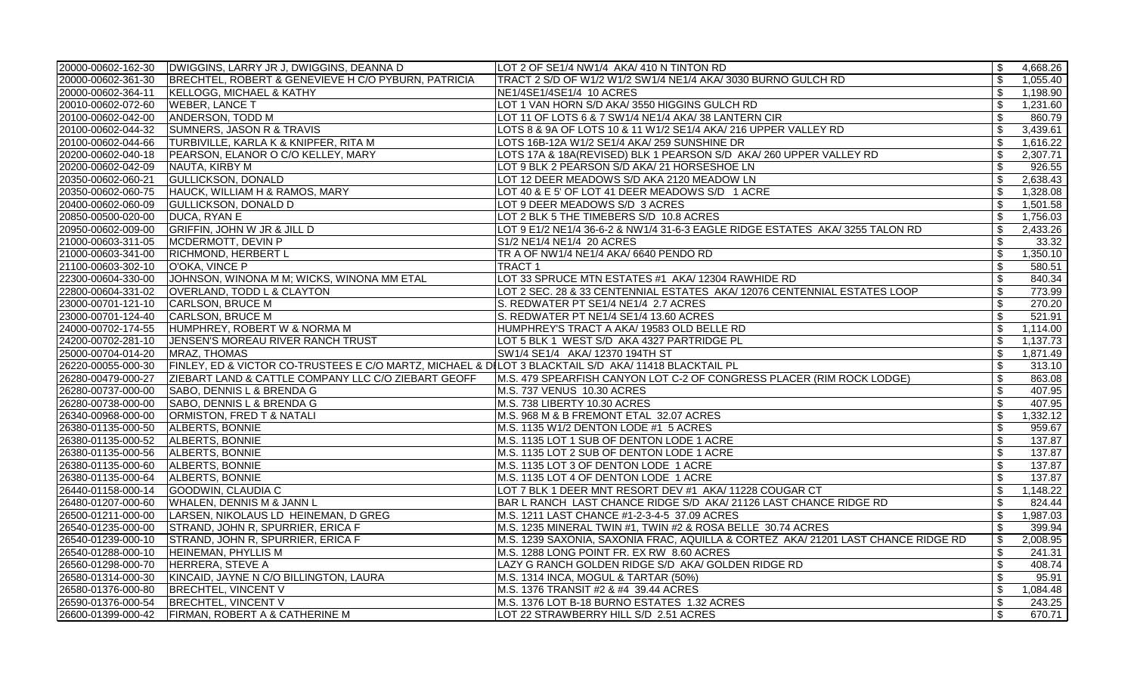| 20000-00602-162-30 | DWIGGINS, LARRY JR J, DWIGGINS, DEANNA D                                                             | LOT 2 OF SE1/4 NW1/4 AKA/ 410 N TINTON RD                                         | -\$                       | 4,668.26 |
|--------------------|------------------------------------------------------------------------------------------------------|-----------------------------------------------------------------------------------|---------------------------|----------|
| 20000-00602-361-30 | BRECHTEL, ROBERT & GENEVIEVE H C/O PYBURN, PATRICIA                                                  | TRACT 2 S/D OF W1/2 W1/2 SW1/4 NE1/4 AKA/ 3030 BURNO GULCH RD                     | \$                        | 1,055.40 |
| 20000-00602-364-11 | <b>KELLOGG, MICHAEL &amp; KATHY</b>                                                                  | NE1/4SE1/4SE1/4 10 ACRES                                                          | \$                        | 1,198.90 |
| 20010-00602-072-60 | <b>WEBER, LANCE T</b>                                                                                | LOT 1 VAN HORN S/D AKA/3550 HIGGINS GULCH RD                                      | $\boldsymbol{\mathsf{S}}$ | 1,231.60 |
| 20100-00602-042-00 | <b>ANDERSON, TODD M</b>                                                                              | LOT 11 OF LOTS 6 & 7 SW1/4 NE1/4 AKA/ 38 LANTERN CIR                              | $\mathfrak{S}$            | 860.79   |
| 20100-00602-044-32 | <b>SUMNERS, JASON R &amp; TRAVIS</b>                                                                 | LOTS 8 & 9A OF LOTS 10 & 11 W1/2 SE1/4 AKA/ 216 UPPER VALLEY RD                   | $\mathfrak{S}$            | 3,439.61 |
| 20100-00602-044-66 | TURBIVILLE, KARLA K & KNIPFER, RITA M                                                                | LOTS 16B-12A W1/2 SE1/4 AKA/ 259 SUNSHINE DR                                      | \$                        | 1,616.22 |
| 20200-00602-040-18 | PEARSON, ELANOR O C/O KELLEY, MARY                                                                   | LOTS 17A & 18A(REVISED) BLK 1 PEARSON S/D AKA/ 260 UPPER VALLEY RD                | $\sqrt[6]{\frac{1}{2}}$   | 2,307.71 |
| 20200-00602-042-09 | NAUTA, KIRBY M                                                                                       | LOT 9 BLK 2 PEARSON S/D AKA/ 21 HORSESHOE LN                                      | \$                        | 926.55   |
| 20350-00602-060-21 | <b>GULLICKSON, DONALD</b>                                                                            | LOT 12 DEER MEADOWS S/D AKA 2120 MEADOW LN                                        | \$                        | 2,638.43 |
| 20350-00602-060-75 | HAUCK, WILLIAM H & RAMOS, MARY                                                                       | LOT 40 & E 5' OF LOT 41 DEER MEADOWS S/D 1 ACRE                                   | $\boldsymbol{\mathsf{S}}$ | 1,328.08 |
| 20400-00602-060-09 | <b>GULLICKSON, DONALD D</b>                                                                          | LOT 9 DEER MEADOWS S/D 3 ACRES                                                    | \$                        | 1,501.58 |
| 20850-00500-020-00 | DUCA, RYAN E                                                                                         | LOT 2 BLK 5 THE TIMEBERS S/D 10.8 ACRES                                           | $\mathfrak{S}$            | 1,756.03 |
| 20950-00602-009-00 | GRIFFIN, JOHN W JR & JILL D                                                                          | LOT 9 E1/2 NE1/4 36-6-2 & NW1/4 31-6-3 EAGLE RIDGE ESTATES AKA/ 3255 TALON RD     | $\sqrt[6]{\frac{1}{2}}$   | 2,433.26 |
| 21000-00603-311-05 | MCDERMOTT, DEVIN P                                                                                   | S1/2 NE1/4 NE1/4 20 ACRES                                                         | \$                        | 33.32    |
| 21000-00603-341-00 | <b>RICHMOND, HERBERT L</b>                                                                           | TR A OF NW1/4 NE1/4 AKA/ 6640 PENDO RD                                            | $\boldsymbol{\mathsf{S}}$ | 1,350.10 |
| 21100-00603-302-10 | O'OKA, VINCE P                                                                                       | TRACT 1                                                                           | $\boldsymbol{\mathsf{S}}$ | 580.51   |
| 22300-00604-330-00 | JOHNSON, WINONA M M; WICKS, WINONA MM ETAL                                                           | LOT 33 SPRUCE MTN ESTATES #1 AKA/ 12304 RAWHIDE RD                                | $\boldsymbol{\mathsf{S}}$ | 840.34   |
| 22800-00604-331-02 | <b>OVERLAND, TODD L &amp; CLAYTON</b>                                                                | LOT 2 SEC. 28 & 33 CENTENNIAL ESTATES AKA/ 12076 CENTENNIAL ESTATES LOOP          | $\mathfrak{s}$            | 773.99   |
| 23000-00701-121-10 | CARLSON, BRUCE M                                                                                     | S. REDWATER PT SE1/4 NE1/4 2.7 ACRES                                              | $\sqrt[6]{\frac{1}{2}}$   | 270.20   |
| 23000-00701-124-40 | CARLSON, BRUCE M                                                                                     | S. REDWATER PT NE1/4 SE1/4 13.60 ACRES                                            | $\mathfrak{S}$            | 521.91   |
| 24000-00702-174-55 | HUMPHREY, ROBERT W & NORMA M                                                                         | HUMPHREY'S TRACT A AKA/ 19583 OLD BELLE RD                                        | $\mathfrak{s}$            | 1,114.00 |
| 24200-00702-281-10 | JENSEN'S MOREAU RIVER RANCH TRUST                                                                    | LOT 5 BLK 1 WEST S/D AKA 4327 PARTRIDGE PL                                        | \$                        | 1,137.73 |
| 25000-00704-014-20 | MRAZ, THOMAS                                                                                         | SW1/4 SE1/4 AKA/ 12370 194TH ST                                                   | $\boldsymbol{\mathsf{S}}$ | 1,871.49 |
| 26220-00055-000-30 | FINLEY, ED & VICTOR CO-TRUSTEES E C/O MARTZ, MICHAEL & DILOT 3 BLACKTAIL S/D AKA/ 11418 BLACKTAIL PL |                                                                                   | $\boldsymbol{\mathsf{S}}$ | 313.10   |
| 26280-00479-000-27 | ZIEBART LAND & CATTLE COMPANY LLC C/O ZIEBART GEOFF                                                  | M.S. 479 SPEARFISH CANYON LOT C-2 OF CONGRESS PLACER (RIM ROCK LODGE)             | $\sqrt{2}$                | 863.08   |
| 26280-00737-000-00 | SABO, DENNIS L & BRENDA G                                                                            | M.S. 737 VENUS 10.30 ACRES                                                        | $\sqrt[6]{\frac{1}{2}}$   | 407.95   |
| 26280-00738-000-00 | SABO, DENNIS L & BRENDA G                                                                            | M.S. 738 LIBERTY 10.30 ACRES                                                      | $\mathfrak{S}$            | 407.95   |
| 26340-00968-000-00 | ORMISTON, FRED T & NATALI                                                                            | M.S. 968 M & B FREMONT ETAL 32.07 ACRES                                           | \$                        | 1,332.12 |
| 26380-01135-000-50 | ALBERTS, BONNIE                                                                                      | M.S. 1135 W1/2 DENTON LODE #1 5 ACRES                                             | $\boldsymbol{\mathsf{S}}$ | 959.67   |
| 26380-01135-000-52 | ALBERTS, BONNIE                                                                                      | M.S. 1135 LOT 1 SUB OF DENTON LODE 1 ACRE                                         | $\mathfrak{S}$            | 137.87   |
| 26380-01135-000-56 | ALBERTS, BONNIE                                                                                      | M.S. 1135 LOT 2 SUB OF DENTON LODE 1 ACRE                                         | $\boldsymbol{\mathsf{S}}$ | 137.87   |
| 26380-01135-000-60 | ALBERTS, BONNIE                                                                                      | M.S. 1135 LOT 3 OF DENTON LODE 1 ACRE                                             | $\boldsymbol{\mathsf{S}}$ | 137.87   |
| 26380-01135-000-64 | ALBERTS, BONNIE                                                                                      | M.S. 1135 LOT 4 OF DENTON LODE 1 ACRE                                             | $\mathfrak{S}$            | 137.87   |
| 26440-01158-000-14 | <b>GOODWIN, CLAUDIA C</b>                                                                            | LOT 7 BLK 1 DEER MNT RESORT DEV #1 AKA/ 11228 COUGAR CT                           | $\mathfrak{S}$            | 1,148.22 |
| 26480-01207-000-60 | WHALEN, DENNIS M & JANN L                                                                            | BAR L RANCH LAST CHANCE RIDGE S/D AKA/ 21126 LAST CHANCE RIDGE RD                 | $\boldsymbol{\mathsf{S}}$ | 824.44   |
| 26500-01211-000-00 | LARSEN, NIKOLAUS LD HEINEMAN, D GREG                                                                 | M.S. 1211 LAST CHANCE #1-2-3-4-5 37.09 ACRES                                      | \$                        | 1,987.03 |
| 26540-01235-000-00 | STRAND, JOHN R, SPURRIER, ERICA F                                                                    | M.S. 1235 MINERAL TWIN #1, TWIN #2 & ROSA BELLE 30.74 ACRES                       | $\boldsymbol{\mathsf{S}}$ | 399.94   |
| 26540-01239-000-10 | STRAND, JOHN R, SPURRIER, ERICA F                                                                    | M.S. 1239 SAXONIA, SAXONIA FRAC, AQUILLA & CORTEZ AKA/ 21201 LAST CHANCE RIDGE RD | $\boldsymbol{\mathsf{S}}$ | 2,008.95 |
| 26540-01288-000-10 | HEINEMAN, PHYLLIS M                                                                                  | M.S. 1288 LONG POINT FR. EX RW 8.60 ACRES                                         | $\boldsymbol{\mathsf{S}}$ | 241.31   |
| 26560-01298-000-70 | HERRERA, STEVE A                                                                                     | LAZY G RANCH GOLDEN RIDGE S/D AKA/ GOLDEN RIDGE RD                                | $\mathfrak{S}$            | 408.74   |
| 26580-01314-000-30 | KINCAID, JAYNE N C/O BILLINGTON, LAURA                                                               | M.S. 1314 INCA, MOGUL & TARTAR (50%)                                              | $\mathfrak{S}$            | 95.91    |
| 26580-01376-000-80 | <b>BRECHTEL, VINCENT V</b>                                                                           | M.S. 1376 TRANSIT #2 & #4 39.44 ACRES                                             | \$                        | 1,084.48 |
| 26590-01376-000-54 | <b>BRECHTEL, VINCENT V</b>                                                                           | M.S. 1376 LOT B-18 BURNO ESTATES 1.32 ACRES                                       | $\boldsymbol{\mathsf{S}}$ | 243.25   |
| 26600-01399-000-42 | FIRMAN, ROBERT A & CATHERINE M                                                                       | LOT 22 STRAWBERRY HILL S/D 2.51 ACRES                                             | $\boldsymbol{\mathsf{S}}$ | 670.71   |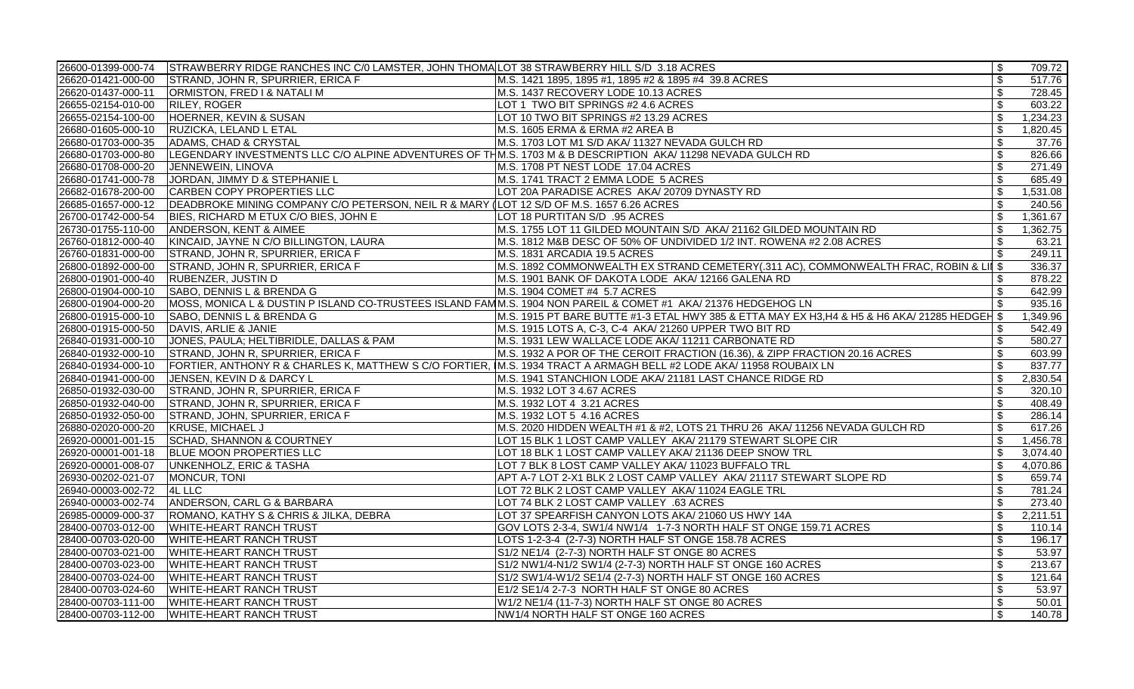|                    | 26600-01399-000-74 STRAWBERRY RIDGE RANCHES INC C/0 LAMSTER, JOHN THOMA LOT 38 STRAWBERRY HILL S/D 3.18 ACRES |                                                                                                                                        | \$                         | 709.72   |
|--------------------|---------------------------------------------------------------------------------------------------------------|----------------------------------------------------------------------------------------------------------------------------------------|----------------------------|----------|
|                    | 26620-01421-000-00 STRAND, JOHN R, SPURRIER, ERICA F                                                          | M.S. 1421 1895, 1895 #1, 1895 #2 & 1895 #4 39.8 ACRES                                                                                  | $\boldsymbol{\mathsf{S}}$  | 517.76   |
| 26620-01437-000-11 | ORMISTON, FRED I & NATALI M                                                                                   | M.S. 1437 RECOVERY LODE 10.13 ACRES                                                                                                    | \$                         | 728.45   |
| 26655-02154-010-00 | RILEY, ROGER                                                                                                  | LOT 1 TWO BIT SPRINGS #2 4.6 ACRES                                                                                                     | $\boldsymbol{\mathsf{S}}$  | 603.22   |
| 26655-02154-100-00 | HOERNER, KEVIN & SUSAN                                                                                        | LOT 10 TWO BIT SPRINGS #2 13.29 ACRES                                                                                                  | \$                         | 1,234.23 |
| 26680-01605-000-10 | RUZICKA, LELAND L ETAL                                                                                        | M.S. 1605 ERMA & ERMA #2 AREA B                                                                                                        | \$                         | 1,820.45 |
| 26680-01703-000-35 | ADAMS, CHAD & CRYSTAL                                                                                         | M.S. 1703 LOT M1 S/D AKA/ 11327 NEVADA GULCH RD                                                                                        | \$                         | 37.76    |
| 26680-01703-000-80 | LEGENDARY INVESTMENTS LLC C/O ALPINE ADVENTURES OF THM.S. 1703 M & B DESCRIPTION AKA/ 11298 NEVADA GULCH RD   |                                                                                                                                        | $\boldsymbol{\mathsf{S}}$  | 826.66   |
| 26680-01708-000-20 | JENNEWEIN, LINOVA                                                                                             | M.S. 1708 PT NEST LODE 17.04 ACRES                                                                                                     | $\boldsymbol{\mathsf{S}}$  | 271.49   |
| 26680-01741-000-78 | JORDAN, JIMMY D & STEPHANIE L                                                                                 | M.S. 1741 TRACT 2 EMMA LODE 5 ACRES                                                                                                    | $\mathfrak{S}$             | 685.49   |
| 26682-01678-200-00 | CARBEN COPY PROPERTIES LLC                                                                                    | LOT 20A PARADISE ACRES AKA/ 20709 DYNASTY RD                                                                                           | \$                         | 1,531.08 |
| 26685-01657-000-12 | DEADBROKE MINING COMPANY C/O PETERSON, NEIL R & MARY (LOT 12 S/D OF M.S. 1657 6.26 ACRES                      |                                                                                                                                        | \$                         | 240.56   |
|                    | 26700-01742-000-54   BIES, RICHARD M ETUX C/O BIES, JOHN E                                                    | LOT 18 PURTITAN S/D .95 ACRES                                                                                                          | $\mathfrak{S}$             | 1,361.67 |
| 26730-01755-110-00 | ANDERSON, KENT & AIMEE                                                                                        | M.S. 1755 LOT 11 GILDED MOUNTAIN S/D AKA/ 21162 GILDED MOUNTAIN RD                                                                     | \$                         | 1,362.75 |
| 26760-01812-000-40 | KINCAID, JAYNE N C/O BILLINGTON, LAURA                                                                        | M.S. 1812 M&B DESC OF 50% OF UNDIVIDED 1/2 INT. ROWENA #2 2.08 ACRES                                                                   | \$                         | 63.21    |
|                    | 26760-01831-000-00 STRAND, JOHN R, SPURRIER, ERICA F                                                          | M.S. 1831 ARCADIA 19.5 ACRES                                                                                                           | \$                         | 249.11   |
| 26800-01892-000-00 | STRAND, JOHN R, SPURRIER, ERICA F                                                                             | M.S. 1892 COMMONWEALTH EX STRAND CEMETERY(.311 AC), COMMONWEALTH FRAC, ROBIN & LII \$                                                  |                            | 336.37   |
| 26800-01901-000-40 | <b>RUBENZER, JUSTIN D</b>                                                                                     | M.S. 1901 BANK OF DAKOTA LODE AKA/ 12166 GALENA RD                                                                                     | \$                         | 878.22   |
|                    | 26800-01904-000-10 SABO, DENNIS L & BRENDA G                                                                  | M.S. 1904 COMET #4 5.7 ACRES                                                                                                           | \$                         | 642.99   |
| 26800-01904-000-20 | MOSS, MONICA L & DUSTIN P ISLAND CO-TRUSTEES ISLAND FAMM.S. 1904 NON PAREIL & COMET #1 AKA/ 21376 HEDGEHOG LN |                                                                                                                                        |                            | 935.16   |
| 26800-01915-000-10 | SABO, DENNIS L & BRENDA G                                                                                     | $ M$ .S. 1915 PT BARE BUTTE #1-3 ETAL HWY 385 & ETTA MAY EX H3,H4 & H5 & H6 AKA/ 21285 HEDGEH \$                                       |                            | 1,349.96 |
| 26800-01915-000-50 | DAVIS, ARLIE & JANIE                                                                                          | M.S. 1915 LOTS A, C-3, C-4 AKA/ 21260 UPPER TWO BIT RD                                                                                 |                            | 542.49   |
| 26840-01931-000-10 | JONES, PAULA; HELTIBRIDLE, DALLAS & PAM                                                                       | M.S. 1931 LEW WALLACE LODE AKA/ 11211 CARBONATE RD                                                                                     | \$                         | 580.27   |
|                    | 26840-01932-000-10 STRAND, JOHN R, SPURRIER, ERICA F                                                          | M.S. 1932 A POR OF THE CEROIT FRACTION (16.36), & ZIPP FRACTION 20.16 ACRES                                                            | \$                         | 603.99   |
|                    |                                                                                                               | 26840-01934-000-10 FORTIER, ANTHONY R & CHARLES K, MATTHEW S C/O FORTIER, IM.S. 1934 TRACT A ARMAGH BELL #2 LODE AKA/ 11958 ROUBAIX LN | \$                         | 837.77   |
| 26840-01941-000-00 | JENSEN, KEVIN D & DARCY L                                                                                     | M.S. 1941 STANCHION LODE AKA/ 21181 LAST CHANCE RIDGE RD                                                                               | \$                         | 2,830.54 |
| 26850-01932-030-00 | STRAND, JOHN R, SPURRIER, ERICA F                                                                             | M.S. 1932 LOT 3 4.67 ACRES                                                                                                             | $\boldsymbol{\mathsf{\$}}$ | 320.10   |
| 26850-01932-040-00 | STRAND, JOHN R, SPURRIER, ERICA F                                                                             | M.S. 1932 LOT 4 3.21 ACRES                                                                                                             | \$                         | 408.49   |
| 26850-01932-050-00 | STRAND, JOHN, SPURRIER, ERICA F                                                                               | M.S. 1932 LOT 5 4.16 ACRES                                                                                                             | \$                         | 286.14   |
| 26880-02020-000-20 | KRUSE, MICHAEL J                                                                                              | M.S. 2020 HIDDEN WEALTH #1 & #2, LOTS 21 THRU 26 AKA/ 11256 NEVADA GULCH RD                                                            | $\boldsymbol{\mathsf{S}}$  | 617.26   |
|                    | 26920-00001-001-15 SCHAD, SHANNON & COURTNEY                                                                  | LOT 15 BLK 1 LOST CAMP VALLEY AKA/ 21179 STEWART SLOPE CIR                                                                             | \$                         | 1,456.78 |
| 26920-00001-001-18 | <b>BLUE MOON PROPERTIES LLC</b>                                                                               | LOT 18 BLK 1 LOST CAMP VALLEY AKA/ 21136 DEEP SNOW TRL                                                                                 | \$                         | 3,074.40 |
| 26920-00001-008-07 | UNKENHOLZ, ERIC & TASHA                                                                                       | LOT 7 BLK 8 LOST CAMP VALLEY AKA/ 11023 BUFFALO TRL                                                                                    | \$                         | 4,070.86 |
| 26930-00202-021-07 | MONCUR, TONI                                                                                                  | APT A-7 LOT 2-X1 BLK 2 LOST CAMP VALLEY AKA/ 21117 STEWART SLOPE RD                                                                    | \$                         | 659.74   |
| 26940-00003-002-72 | <b>4L LLC</b>                                                                                                 | LOT 72 BLK 2 LOST CAMP VALLEY AKA/ 11024 EAGLE TRL                                                                                     | \$                         | 781.24   |
| 26940-00003-002-74 | ANDERSON, CARL G & BARBARA                                                                                    | LOT 74 BLK 2 LOST CAMP VALLEY .63 ACRES                                                                                                | $\boldsymbol{\mathsf{S}}$  | 273.40   |
| 26985-00009-000-37 | ROMANO, KATHY S & CHRIS & JILKA, DEBRA                                                                        | LOT 37 SPEARFISH CANYON LOTS AKA/ 21060 US HWY 14A                                                                                     | \$                         | 2,211.51 |
| 28400-00703-012-00 | <b>WHITE-HEART RANCH TRUST</b>                                                                                | GOV LOTS 2-3-4, SW1/4 NW1/4 1-7-3 NORTH HALF ST ONGE 159.71 ACRES                                                                      | \$                         | 110.14   |
| 28400-00703-020-00 | <b>WHITE-HEART RANCH TRUST</b>                                                                                | LOTS 1-2-3-4 (2-7-3) NORTH HALF ST ONGE 158.78 ACRES                                                                                   | \$                         | 196.17   |
| 28400-00703-021-00 | <b>WHITE-HEART RANCH TRUST</b>                                                                                | S1/2 NE1/4 (2-7-3) NORTH HALF ST ONGE 80 ACRES                                                                                         | \$                         | 53.97    |
| 28400-00703-023-00 | WHITE-HEART RANCH TRUST                                                                                       | S1/2 NW1/4-N1/2 SW1/4 (2-7-3) NORTH HALF ST ONGE 160 ACRES                                                                             | \$                         | 213.67   |
| 28400-00703-024-00 | <b>WHITE-HEART RANCH TRUST</b>                                                                                | S1/2 SW1/4-W1/2 SE1/4 (2-7-3) NORTH HALF ST ONGE 160 ACRES                                                                             | $\boldsymbol{\mathsf{S}}$  | 121.64   |
| 28400-00703-024-60 | <b>WHITE-HEART RANCH TRUST</b>                                                                                | E1/2 SE1/4 2-7-3 NORTH HALF ST ONGE 80 ACRES                                                                                           | \$                         | 53.97    |
| 28400-00703-111-00 | <b>WHITE-HEART RANCH TRUST</b>                                                                                | W1/2 NE1/4 (11-7-3) NORTH HALF ST ONGE 80 ACRES                                                                                        | \$                         | 50.01    |
| 28400-00703-112-00 | <b>WHITE-HEART RANCH TRUST</b>                                                                                | NW1/4 NORTH HALF ST ONGE 160 ACRES                                                                                                     | \$                         | 140.78   |
|                    |                                                                                                               |                                                                                                                                        |                            |          |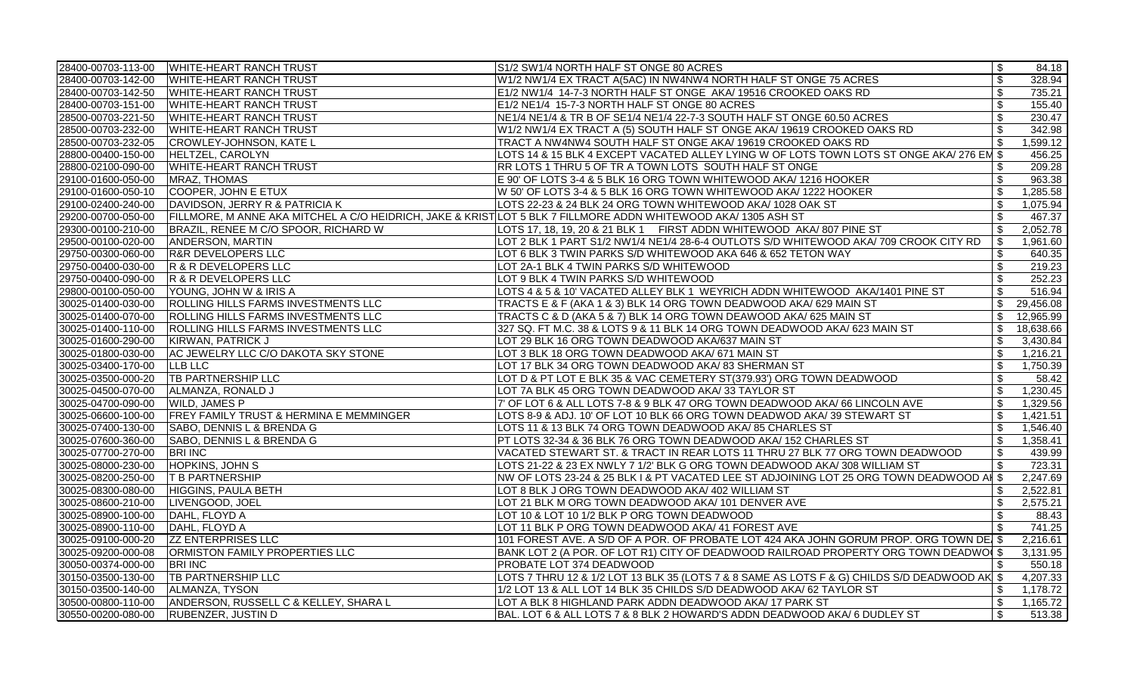|                    | 28400-00703-113-00 WHITE-HEART RANCH TRUST                                                                     | S1/2 SW1/4 NORTH HALF ST ONGE 80 ACRES                                                       | \$                        | 84.18     |
|--------------------|----------------------------------------------------------------------------------------------------------------|----------------------------------------------------------------------------------------------|---------------------------|-----------|
| 28400-00703-142-00 | <b>WHITE-HEART RANCH TRUST</b>                                                                                 | W1/2 NW1/4 EX TRACT A(5AC) IN NW4NW4 NORTH HALF ST ONGE 75 ACRES                             | $\sqrt[6]{2}$             | 328.94    |
| 28400-00703-142-50 | <b>WHITE-HEART RANCH TRUST</b>                                                                                 | E1/2 NW1/4 14-7-3 NORTH HALF ST ONGE AKA/ 19516 CROOKED OAKS RD                              | $\sqrt[6]{2}$             | 735.21    |
| 28400-00703-151-00 | <b>WHITE-HEART RANCH TRUST</b>                                                                                 | E1/2 NE1/4 15-7-3 NORTH HALF ST ONGE 80 ACRES                                                | $\boldsymbol{\mathsf{S}}$ | 155.40    |
| 28500-00703-221-50 | <b>WHITE-HEART RANCH TRUST</b>                                                                                 | NE1/4 NE1/4 & TR B OF SE1/4 NE1/4 22-7-3 SOUTH HALF ST ONGE 60.50 ACRES                      | $\boldsymbol{\mathsf{S}}$ | 230.47    |
| 28500-00703-232-00 | <b>WHITE-HEART RANCH TRUST</b>                                                                                 | W1/2 NW1/4 EX TRACT A (5) SOUTH HALF ST ONGE AKA/ 19619 CROOKED OAKS RD                      | \$                        | 342.98    |
| 28500-00703-232-05 | CROWLEY-JOHNSON, KATE L                                                                                        | TRACT A NW4NW4 SOUTH HALF ST ONGE AKA/ 19619 CROOKED OAKS RD                                 | \$                        | 1,599.12  |
| 28800-00400-150-00 | <b>HELTZEL, CAROLYN</b>                                                                                        | LOTS 14 & 15 BLK 4 EXCEPT VACATED ALLEY LYING W OF LOTS TOWN LOTS ST ONGE AKA/ 276 EM \$     |                           | 456.25    |
| 28800-02100-090-00 | <b>WHITE-HEART RANCH TRUST</b>                                                                                 | RR LOTS 1 THRU 5 OF TR A TOWN LOTS SOUTH HALF ST ONGE                                        | \$                        | 209.28    |
| 29100-01600-050-00 | MRAZ, THOMAS                                                                                                   | E 90' OF LOTS 3-4 & 5 BLK 16 ORG TOWN WHITEWOOD AKA/ 1216 HOOKER                             | \$                        | 963.38    |
| 29100-01600-050-10 | COOPER, JOHN E ETUX                                                                                            | W 50' OF LOTS 3-4 & 5 BLK 16 ORG TOWN WHITEWOOD AKA/ 1222 HOOKER                             | $\mathfrak{S}$            | 1,285.58  |
| 29100-02400-240-00 | DAVIDSON, JERRY R & PATRICIA K                                                                                 | LOTS 22-23 & 24 BLK 24 ORG TOWN WHITEWOOD AKA/ 1028 OAK ST                                   | \$                        | 1,075.94  |
| 29200-00700-050-00 | FILLMORE, M ANNE AKA MITCHEL A C/O HEIDRICH, JAKE & KRIST LOT 5 BLK 7 FILLMORE ADDN WHITEWOOD AKA/ 1305 ASH ST |                                                                                              | $\sqrt[6]{2}$             | 467.37    |
| 29300-00100-210-00 | BRAZIL, RENEE M C/O SPOOR, RICHARD W                                                                           | LOTS 17, 18, 19, 20 & 21 BLK 1   FIRST ADDN WHITEWOOD AKA/ 807 PINE ST                       | $\sqrt[6]{2}$             | 2,052.78  |
| 29500-00100-020-00 | ANDERSON, MARTIN                                                                                               | LOT 2 BLK 1 PART S1/2 NW1/4 NE1/4 28-6-4 OUTLOTS S/D WHITEWOOD AKA/ 709 CROOK CITY RD        | \$                        | 1,961.60  |
| 29750-00300-060-00 | <b>R&amp;R DEVELOPERS LLC</b>                                                                                  | LOT 6 BLK 3 TWIN PARKS S/D WHITEWOOD AKA 646 & 652 TETON WAY                                 | \$                        | 640.35    |
| 29750-00400-030-00 | R & R DEVELOPERS LLC                                                                                           | LOT 2A-1 BLK 4 TWIN PARKS S/D WHITEWOOD                                                      | \$                        | 219.23    |
| 29750-00400-090-00 | R & R DEVELOPERS LLC                                                                                           | LOT 9 BLK 4 TWIN PARKS S/D WHITEWOOD                                                         | $\sqrt[6]{2}$             | 252.23    |
| 29800-00100-050-00 | YOUNG, JOHN W & IRIS A                                                                                         | LOTS 4 & 5 & 10' VACATED ALLEY BLK 1 WEYRICH ADDN WHITEWOOD AKA/1401 PINE ST                 | $\boldsymbol{\mathsf{S}}$ | 516.94    |
| 30025-01400-030-00 | ROLLING HILLS FARMS INVESTMENTS LLC                                                                            | TRACTS E & F (AKA 1 & 3) BLK 14 ORG TOWN DEADWOOD AKA/ 629 MAIN ST                           | $\mathbb{S}$              | 29,456.08 |
| 30025-01400-070-00 | ROLLING HILLS FARMS INVESTMENTS LLC                                                                            | TRACTS C & D (AKA 5 & 7) BLK 14 ORG TOWN DEAWOOD AKA/ 625 MAIN ST                            | \$                        | 12,965.99 |
| 30025-01400-110-00 | <b>ROLLING HILLS FARMS INVESTMENTS LLC</b>                                                                     | 327 SQ. FT M.C. 38 & LOTS 9 & 11 BLK 14 ORG TOWN DEADWOOD AKA/ 623 MAIN ST                   | \$                        | 18,638.66 |
| 30025-01600-290-00 | KIRWAN, PATRICK J                                                                                              | LOT 29 BLK 16 ORG TOWN DEADWOOD AKA/637 MAIN ST                                              | \$                        | 3,430.84  |
| 30025-01800-030-00 | AC JEWELRY LLC C/O DAKOTA SKY STONE                                                                            | LOT 3 BLK 18 ORG TOWN DEADWOOD AKA/ 671 MAIN ST                                              | \$                        | 1,216.21  |
| 30025-03400-170-00 | <b>LLB LLC</b>                                                                                                 | LOT 17 BLK 34 ORG TOWN DEADWOOD AKA/ 83 SHERMAN ST                                           | $\sqrt[6]{2}$             | 1,750.39  |
| 30025-03500-000-20 | <b>TB PARTNERSHIP LLC</b>                                                                                      | LOT D & PT LOT E BLK 35 & VAC CEMETERY ST(379.93') ORG TOWN DEADWOOD                         | $\sqrt[6]{2}$             | 58.42     |
| 30025-04500-070-00 | ALMANZA, RONALD J                                                                                              | LOT 7A BLK 45 ORG TOWN DEADWOOD AKA/33 TAYLOR ST                                             | $\sqrt[6]{2}$             | 1,230.45  |
| 30025-04700-090-00 | <b>WILD, JAMES P</b>                                                                                           | 7' OF LOT 6 & ALL LOTS 7-8 & 9 BLK 47 ORG TOWN DEADWOOD AKA/ 66 LINCOLN AVE                  | \$                        | 1,329.56  |
| 30025-06600-100-00 | <b>FREY FAMILY TRUST &amp; HERMINA E MEMMINGER</b>                                                             | LOTS 8-9 & ADJ. 10' OF LOT 10 BLK 66 ORG TOWN DEADWOD AKA/39 STEWART ST                      | $\sqrt[6]{2}$             | 1,421.51  |
| 30025-07400-130-00 | SABO, DENNIS L & BRENDA G                                                                                      | LOTS 11 & 13 BLK 74 ORG TOWN DEADWOOD AKA/85 CHARLES ST                                      | \$                        | 1,546.40  |
| 30025-07600-360-00 | SABO, DENNIS L & BRENDA G                                                                                      | PT LOTS 32-34 & 36 BLK 76 ORG TOWN DEADWOOD AKA/ 152 CHARLES ST                              | $\boldsymbol{\mathsf{S}}$ | 1,358.41  |
| 30025-07700-270-00 | <b>BRI INC</b>                                                                                                 | VACATED STEWART ST. & TRACT IN REAR LOTS 11 THRU 27 BLK 77 ORG TOWN DEADWOOD                 | $\mathfrak{S}$            | 439.99    |
| 30025-08000-230-00 | <b>HOPKINS, JOHN S</b>                                                                                         | LOTS 21-22 & 23 EX NWLY 7 1/2' BLK G ORG TOWN DEADWOOD AKA/308 WILLIAM ST                    | \$                        | 723.31    |
| 30025-08200-250-00 | <b>T B PARTNERSHIP</b>                                                                                         | NW OF LOTS 23-24 & 25 BLK I & PT VACATED LEE ST ADJOINING LOT 25 ORG TOWN DEADWOOD AI \$     |                           | 2,247.69  |
| 30025-08300-080-00 | HIGGINS, PAULA BETH                                                                                            | LOT 8 BLK J ORG TOWN DEADWOOD AKA/ 402 WILLIAM ST                                            | \$                        | 2,522.81  |
| 30025-08600-210-00 | LIVENGOOD, JOEL                                                                                                | LOT 21 BLK M ORG TOWN DEADWOOD AKA/ 101 DENVER AVE                                           | \$                        | 2,575.21  |
| 30025-08900-100-00 | DAHL, FLOYD A                                                                                                  | LOT 10 & LOT 10 1/2 BLK P ORG TOWN DEADWOOD                                                  | \$                        | 88.43     |
| 30025-08900-110-00 | DAHL, FLOYD A                                                                                                  | LOT 11 BLK P ORG TOWN DEADWOOD AKA/ 41 FOREST AVE                                            | \$                        | 741.25    |
| 30025-09100-000-20 | <b>ZZ ENTERPRISES LLC</b>                                                                                      | $ 101$ FOREST AVE. A S/D OF A POR. OF PROBATE LOT 424 AKA JOHN GORUM PROP. ORG TOWN DE $ \$$ |                           | 2,216.61  |
| 30025-09200-000-08 | <b>ORMISTON FAMILY PROPERTIES LLC</b>                                                                          | BANK LOT 2 (A POR. OF LOT R1) CITY OF DEADWOOD RAILROAD PROPERTY ORG TOWN DEADWO §           |                           | 3,131.95  |
| 30050-00374-000-00 | <b>BRI INC</b>                                                                                                 | PROBATE LOT 374 DEADWOOD                                                                     |                           | 550.18    |
| 30150-03500-130-00 | <b>TB PARTNERSHIP LLC</b>                                                                                      | LOTS 7 THRU 12 & 1/2 LOT 13 BLK 35 (LOTS 7 & 8 SAME AS LOTS F & G) CHILDS S/D DEADWOOD AK \$ |                           | 4,207.33  |
| 30150-03500-140-00 | ALMANZA, TYSON                                                                                                 | 1/2 LOT 13 & ALL LOT 14 BLK 35 CHILDS S/D DEADWOOD AKA/ 62 TAYLOR ST                         | \$                        | 1,178.72  |
| 30500-00800-110-00 | ANDERSON, RUSSELL C & KELLEY, SHARA L                                                                          | LOT A BLK 8 HIGHLAND PARK ADDN DEADWOOD AKA/ 17 PARK ST                                      | \$                        | 1,165.72  |
| 30550-00200-080-00 | <b>RUBENZER, JUSTIN D</b>                                                                                      | BAL. LOT 6 & ALL LOTS 7 & 8 BLK 2 HOWARD'S ADDN DEADWOOD AKA/ 6 DUDLEY ST                    | $\sqrt[6]{2}$             | 513.38    |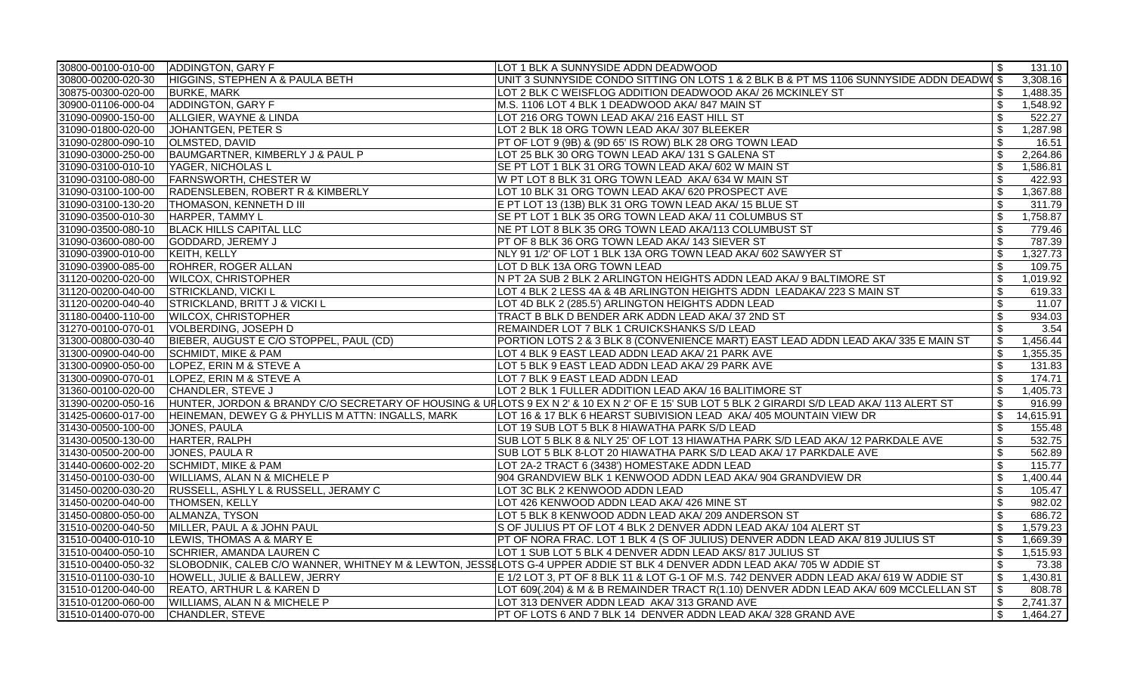| 30800-00100-010-00 | ADDINGTON, GARY F                                 | LOT 1 BLK A SUNNYSIDE ADDN DEADWOOD                                                                                                          | \$                        | 131.10    |
|--------------------|---------------------------------------------------|----------------------------------------------------------------------------------------------------------------------------------------------|---------------------------|-----------|
| 30800-00200-020-30 | HIGGINS, STEPHEN A & PAULA BETH                   | UNIT 3 SUNNYSIDE CONDO SITTING ON LOTS 1 & 2 BLK B & PT MS 1106 SUNNYSIDE ADDN DEADW §                                                       |                           | 3,308.16  |
| 30875-00300-020-00 | <b>BURKE, MARK</b>                                | LOT 2 BLK C WEISFLOG ADDITION DEADWOOD AKA/ 26 MCKINLEY ST                                                                                   | \$                        | 1,488.35  |
| 30900-01106-000-04 | ADDINGTON, GARY F                                 | M.S. 1106 LOT 4 BLK 1 DEADWOOD AKA/ 847 MAIN ST                                                                                              | $\sqrt[6]{\frac{1}{2}}$   | 1,548.92  |
| 31090-00900-150-00 | ALLGIER, WAYNE & LINDA                            | LOT 216 ORG TOWN LEAD AKA/ 216 EAST HILL ST                                                                                                  | $\sqrt[6]{\frac{1}{2}}$   | 522.27    |
| 31090-01800-020-00 | JOHANTGEN, PETER S                                | LOT 2 BLK 18 ORG TOWN LEAD AKA/307 BLEEKER                                                                                                   | \$                        | 1,287.98  |
| 31090-02800-090-10 | <b>OLMSTED, DAVID</b>                             | PT OF LOT 9 (9B) & (9D 65' IS ROW) BLK 28 ORG TOWN LEAD                                                                                      | \$                        | 16.51     |
| 31090-03000-250-00 | BAUMGARTNER, KIMBERLY J & PAUL P                  | LOT 25 BLK 30 ORG TOWN LEAD AKA/ 131 S GALENA ST                                                                                             | $\mathbb{S}$              | 2,264.86  |
| 31090-03100-010-10 | YAGER, NICHOLAS L                                 | SE PT LOT 1 BLK 31 ORG TOWN LEAD AKA/ 602 W MAIN ST                                                                                          | \$                        | 1,586.81  |
| 31090-03100-080-00 | <b>FARNSWORTH, CHESTER W</b>                      | W PT LOT 8 BLK 31 ORG TOWN LEAD AKA/ 634 W MAIN ST                                                                                           | $\boldsymbol{\mathsf{S}}$ | 422.93    |
| 31090-03100-100-00 | RADENSLEBEN, ROBERT R & KIMBERLY                  | LOT 10 BLK 31 ORG TOWN LEAD AKA/ 620 PROSPECT AVE                                                                                            | \$                        | 1,367.88  |
| 31090-03100-130-20 | <b>THOMASON, KENNETH D III</b>                    | E PT LOT 13 (13B) BLK 31 ORG TOWN LEAD AKA/ 15 BLUE ST                                                                                       | $\sqrt[6]{\frac{1}{2}}$   | 311.79    |
| 31090-03500-010-30 | HARPER, TAMMY L                                   | SE PT LOT 1 BLK 35 ORG TOWN LEAD AKA/ 11 COLUMBUS ST                                                                                         | $\sqrt[6]{\frac{1}{2}}$   | 1,758.87  |
| 31090-03500-080-10 | <b>BLACK HILLS CAPITAL LLC</b>                    | NE PT LOT 8 BLK 35 ORG TOWN LEAD AKA/113 COLUMBUST ST                                                                                        | $\sqrt[6]{\frac{1}{2}}$   | 779.46    |
| 31090-03600-080-00 | GODDARD, JEREMY J                                 | PT OF 8 BLK 36 ORG TOWN LEAD AKA/ 143 SIEVER ST                                                                                              | $\sqrt{2}$                | 787.39    |
| 31090-03900-010-00 | KEITH, KELLY                                      | NLY 91 1/2' OF LOT 1 BLK 13A ORG TOWN LEAD AKA/ 602 SAWYER ST                                                                                | $\mathfrak{s}$            | 1,327.73  |
| 31090-03900-085-00 | ROHRER, ROGER ALLAN                               | LOT D BLK 13A ORG TOWN LEAD                                                                                                                  | \$                        | 109.75    |
| 31120-00200-020-00 | <b>WILCOX, CHRISTOPHER</b>                        | N PT 2A SUB 2 BLK 2 ARLINGTON HEIGHTS ADDN LEAD AKA/ 9 BALTIMORE ST                                                                          | $\mathfrak{s}$            | 1,019.92  |
| 31120-00200-040-00 | <b>STRICKLAND, VICKI L</b>                        | LOT 4 BLK 2 LESS 4A & 4B ARLINGTON HEIGHTS ADDN LEADAKA/ 223 S MAIN ST                                                                       | \$                        | 619.33    |
| 31120-00200-040-40 | <b>STRICKLAND, BRITT J &amp; VICKI L</b>          | LOT 4D BLK 2 (285.5') ARLINGTON HEIGHTS ADDN LEAD                                                                                            | $\boldsymbol{\mathsf{S}}$ | 11.07     |
| 31180-00400-110-00 | <b>WILCOX, CHRISTOPHER</b>                        | TRACT B BLK D BENDER ARK ADDN LEAD AKA/37 2ND ST                                                                                             | \$                        | 934.03    |
| 31270-00100-070-01 | VOLBERDING, JOSEPH D                              | REMAINDER LOT 7 BLK 1 CRUICKSHANKS S/D LEAD                                                                                                  | \$                        | 3.54      |
| 31300-00800-030-40 | BIEBER, AUGUST E C/O STOPPEL, PAUL (CD)           | PORTION LOTS 2 & 3 BLK 8 (CONVENIENCE MART) EAST LEAD ADDN LEAD AKA/335 E MAIN ST                                                            | \$                        | 1,456.44  |
| 31300-00900-040-00 | <b>SCHMIDT, MIKE &amp; PAM</b>                    | LOT 4 BLK 9 EAST LEAD ADDN LEAD AKA/ 21 PARK AVE                                                                                             | $\mathfrak{s}$            | 1,355.35  |
| 31300-00900-050-00 | LOPEZ, ERIN M & STEVE A                           | LOT 5 BLK 9 EAST LEAD ADDN LEAD AKA/ 29 PARK AVE                                                                                             | $\mathfrak{s}$            | 131.83    |
| 31300-00900-070-01 | LOPEZ, ERIN M & STEVE A                           | LOT 7 BLK 9 EAST LEAD ADDN LEAD                                                                                                              | \$                        | 174.71    |
| 31360-00100-020-00 | CHANDLER, STEVE J                                 | LOT 2 BLK 1 FULLER ADDITION LEAD AKA/ 16 BALITIMORE ST                                                                                       | $\sqrt[6]{\frac{1}{2}}$   | 1,405.73  |
| 31390-00200-050-16 |                                                   | HUNTER, JORDON & BRANDY C/O SECRETARY OF HOUSING & URLOTS 9 EX N 2' & 10 EX N 2' OF E 15' SUB LOT 5 BLK 2 GIRARDI S/D LEAD AKA/ 113 ALERT ST | \$                        | 916.99    |
| 31425-00600-017-00 | HEINEMAN, DEWEY G & PHYLLIS M ATTN: INGALLS, MARK | LOT 16 & 17 BLK 6 HEARST SUBIVISION LEAD AKA/ 405 MOUNTAIN VIEW DR                                                                           | \$                        | 14,615.91 |
| 31430-00500-100-00 | JONES, PAULA                                      | LOT 19 SUB LOT 5 BLK 8 HIAWATHA PARK S/D LEAD                                                                                                | \$                        | 155.48    |
| 31430-00500-130-00 | HARTER, RALPH                                     | SUB LOT 5 BLK 8 & NLY 25' OF LOT 13 HIAWATHA PARK S/D LEAD AKA/ 12 PARKDALE AVE                                                              | $\boldsymbol{\mathsf{S}}$ | 532.75    |
| 31430-00500-200-00 | JONES, PAULA R                                    | SUB LOT 5 BLK 8-LOT 20 HIAWATHA PARK S/D LEAD AKA/ 17 PARKDALE AVE                                                                           | $\mathfrak{s}$            | 562.89    |
| 31440-00600-002-20 | <b>SCHMIDT, MIKE &amp; PAM</b>                    | LOT 2A-2 TRACT 6 (3438') HOMESTAKE ADDN LEAD                                                                                                 | $\mathfrak{s}$            | 115.77    |
| 31450-00100-030-00 | <b>WILLIAMS, ALAN N &amp; MICHELE P</b>           | 904 GRANDVIEW BLK 1 KENWOOD ADDN LEAD AKA/ 904 GRANDVIEW DR                                                                                  | \$                        | 1,400.44  |
| 31450-00200-030-20 | RUSSELL, ASHLY L & RUSSELL, JERAMY C              | LOT 3C BLK 2 KENWOOD ADDN LEAD                                                                                                               | \$                        | 105.47    |
| 31450-00200-040-00 | <b>THOMSEN, KELLY</b>                             | LOT 426 KENWOOD ADDN LEAD AKA/ 426 MINE ST                                                                                                   | $\sqrt[6]{\frac{1}{2}}$   | 982.02    |
| 31450-00800-050-00 | ALMANZA, TYSON                                    | LOT 5 BLK 8 KENWOOD ADDN LEAD AKA/ 209 ANDERSON ST                                                                                           | \$                        | 686.72    |
| 31510-00200-040-50 | MILLER, PAUL A & JOHN PAUL                        | S OF JULIUS PT OF LOT 4 BLK 2 DENVER ADDN LEAD AKA/ 104 ALERT ST                                                                             | \$                        | 1,579.23  |
| 31510-00400-010-10 | LEWIS, THOMAS A & MARY E                          | PT OF NORA FRAC. LOT 1 BLK 4 (S OF JULIUS) DENVER ADDN LEAD AKA/ 819 JULIUS ST                                                               | \$                        | 1,669.39  |
| 31510-00400-050-10 | <b>SCHRIER, AMANDA LAUREN C</b>                   | LOT 1 SUB LOT 5 BLK 4 DENVER ADDN LEAD AKS/ 817 JULIUS ST                                                                                    | \$                        | 1,515.93  |
| 31510-00400-050-32 |                                                   | SLOBODNIK, CALEB C/O WANNER, WHITNEY M & LEWTON, JESSELOTS G-4 UPPER ADDIE ST BLK 4 DENVER ADDN LEAD AKA/ 705 W ADDIE ST                     | \$                        | 73.38     |
| 31510-01100-030-10 | HOWELL, JULIE & BALLEW, JERRY                     | E 1/2 LOT 3, PT OF 8 BLK 11 & LOT G-1 OF M.S. 742 DENVER ADDN LEAD AKA/ 619 W ADDIE ST                                                       | $\mathfrak{S}$            | 1,430.81  |
| 31510-01200-040-00 | <b>REATO, ARTHUR L &amp; KAREN D</b>              | LOT 609(.204) & M & B REMAINDER TRACT R(1.10) DENVER ADDN LEAD AKA/ 609 MCCLELLAN ST                                                         | \$                        | 808.78    |
| 31510-01200-060-00 | WILLIAMS, ALAN N & MICHELE P                      | LOT 313 DENVER ADDN LEAD AKA/313 GRAND AVE                                                                                                   | $\sqrt[6]{\frac{1}{2}}$   | 2,741.37  |
| 31510-01400-070-00 | CHANDLER, STEVE                                   | PT OF LOTS 6 AND 7 BLK 14 DENVER ADDN LEAD AKA/328 GRAND AVE                                                                                 | $\mathfrak{S}$            | 1,464.27  |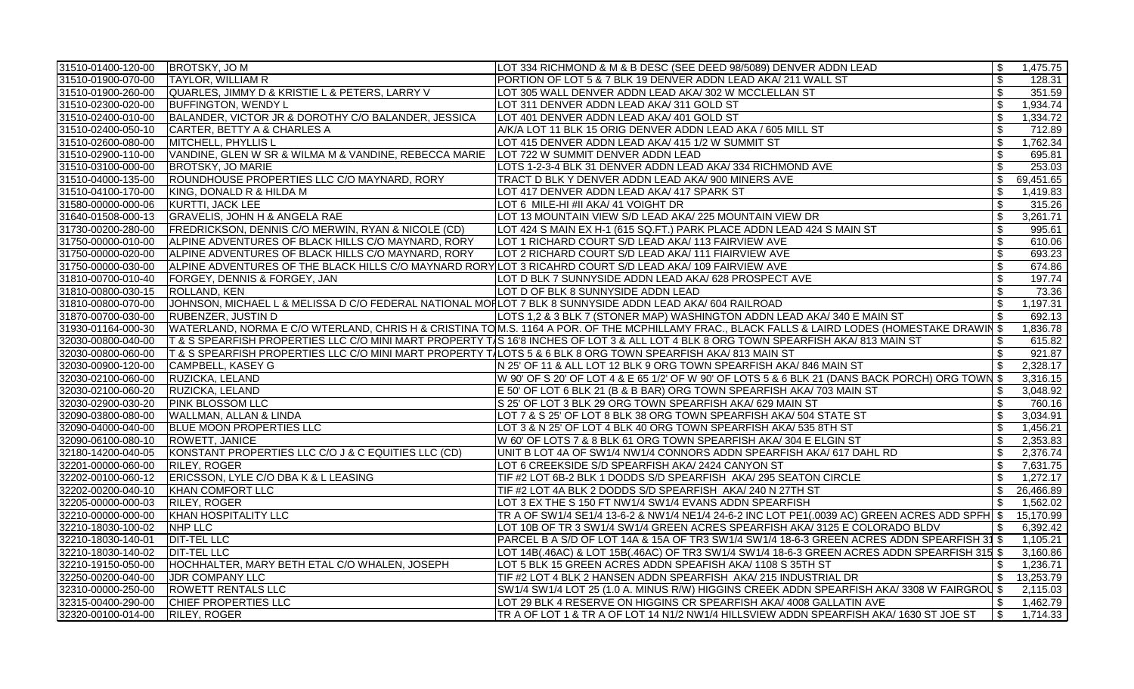| 31510-01400-120-00  BROTSKY, JO M |                                                                                                              | LOT 334 RICHMOND & M & B DESC (SEE DEED 98/5089) DENVER ADDN LEAD                                                                              | \$                        | 1,475.75  |
|-----------------------------------|--------------------------------------------------------------------------------------------------------------|------------------------------------------------------------------------------------------------------------------------------------------------|---------------------------|-----------|
| 31510-01900-070-00                | <b>TAYLOR, WILLIAM R</b>                                                                                     | PORTION OF LOT 5 & 7 BLK 19 DENVER ADDN LEAD AKA/ 211 WALL ST                                                                                  | \$                        | 128.31    |
| 31510-01900-260-00                | QUARLES, JIMMY D & KRISTIE L & PETERS, LARRY V                                                               | LOT 305 WALL DENVER ADDN LEAD AKA/302 W MCCLELLAN ST                                                                                           | $\mathfrak{S}$            | 351.59    |
| 31510-02300-020-00                | <b>BUFFINGTON, WENDY L</b>                                                                                   | LOT 311 DENVER ADDN LEAD AKA/311 GOLD ST                                                                                                       | $\boldsymbol{\mathsf{S}}$ | 1,934.74  |
| 31510-02400-010-00                | BALANDER, VICTOR JR & DOROTHY C/O BALANDER, JESSICA                                                          | LOT 401 DENVER ADDN LEAD AKA/ 401 GOLD ST                                                                                                      | $\mathsf{\$}$             | 1,334.72  |
| 31510-02400-050-10                | CARTER, BETTY A & CHARLES A                                                                                  | A/K/A LOT 11 BLK 15 ORIG DENVER ADDN LEAD AKA / 605 MILL ST                                                                                    | \$                        | 712.89    |
| 31510-02600-080-00                | MITCHELL, PHYLLIS L                                                                                          | LOT 415 DENVER ADDN LEAD AKA/ 415 1/2 W SUMMIT ST                                                                                              | \$                        | 1,762.34  |
| 31510-02900-110-00                | VANDINE, GLEN W SR & WILMA M & VANDINE, REBECCA MARIE                                                        | LOT 722 W SUMMIT DENVER ADDN LEAD                                                                                                              | \$                        | 695.81    |
| 31510-03100-000-00                | <b>BROTSKY, JO MARIE</b>                                                                                     | LOTS 1-2-3-4 BLK 31 DENVER ADDN LEAD AKA/334 RICHMOND AVE                                                                                      | $\overline{\mathbf{s}}$   | 253.03    |
| 31510-04000-135-00                | ROUNDHOUSE PROPERTIES LLC C/O MAYNARD, RORY                                                                  | TRACT D BLK Y DENVER ADDN LEAD AKA/ 900 MINERS AVE                                                                                             | $\mathfrak{S}$            | 69,451.65 |
| 31510-04100-170-00                | KING, DONALD R & HILDA M                                                                                     | LOT 417 DENVER ADDN LEAD AKA/ 417 SPARK ST                                                                                                     | $\mathfrak{S}$            | 1,419.83  |
| 31580-00000-000-06                | KURTTI, JACK LEE                                                                                             | LOT 6 MILE-HI #II AKA/ 41 VOIGHT DR                                                                                                            | \$                        | 315.26    |
| 31640-01508-000-13                | GRAVELIS, JOHN H & ANGELA RAE                                                                                | LOT 13 MOUNTAIN VIEW S/D LEAD AKA/ 225 MOUNTAIN VIEW DR                                                                                        | $\mathfrak{S}$            | 3,261.71  |
| 31730-00200-280-00                | FREDRICKSON, DENNIS C/O MERWIN, RYAN & NICOLE (CD)                                                           | LOT 424 S MAIN EX H-1 (615 SQ.FT.) PARK PLACE ADDN LEAD 424 S MAIN ST                                                                          | \$                        | 995.61    |
| 31750-00000-010-00                | ALPINE ADVENTURES OF BLACK HILLS C/O MAYNARD, RORY                                                           | LOT 1 RICHARD COURT S/D LEAD AKA/ 113 FAIRVIEW AVE                                                                                             | $\mathfrak s$             | 610.06    |
| 31750-00000-020-00                | ALPINE ADVENTURES OF BLACK HILLS C/O MAYNARD, RORY                                                           | LOT 2 RICHARD COURT S/D LEAD AKA/ 111 FIAIRVIEW AVE                                                                                            | $\mathfrak{S}$            | 693.23    |
| 31750-00000-030-00                | ALPINE ADVENTURES OF THE BLACK HILLS C/O MAYNARD RORY LOT 3 RICAHRD COURT S/D LEAD AKA/ 109 FAIRVIEW AVE     |                                                                                                                                                | $\sqrt[6]{\frac{1}{2}}$   | 674.86    |
| 31810-00700-010-40                | <b>FORGEY, DENNIS &amp; FORGEY, JAN</b>                                                                      | LOT D BLK 7 SUNNYSIDE ADDN LEAD AKA/ 628 PROSPECT AVE                                                                                          | \$                        | 197.74    |
| 31810-00800-030-15                | <b>ROLLAND, KEN</b>                                                                                          | LOT D OF BLK 8 SUNNYSIDE ADDN LEAD                                                                                                             | $\mathfrak{S}$            | 73.36     |
| 31810-00800-070-00                | JOHNSON, MICHAEL L & MELISSA D C/O FEDERAL NATIONAL MOFLOT 7 BLK 8 SUNNYSIDE ADDN LEAD AKA/ 604 RAILROAD     |                                                                                                                                                | $\mathsf{\$}$             | 1,197.31  |
| 31870-00700-030-00                | <b>RUBENZER, JUSTIN D</b>                                                                                    | LOTS 1,2 & 3 BLK 7 (STONER MAP) WASHINGTON ADDN LEAD AKA/ 340 E MAIN ST                                                                        | \$                        | 692.13    |
| 31930-01164-000-30                |                                                                                                              | WATERLAND, NORMA E C/O WTERLAND, CHRIS H & CRISTINA TOM.S. 1164 A POR. OF THE MCPHILLAMY FRAC., BLACK FALLS & LAIRD LODES (HOMESTAKE DRAWIN \$ |                           | 1,836.78  |
| 32030-00800-040-00                |                                                                                                              | T & S SPEARFISH PROPERTIES LLC C/O MINI MART PROPERTY TAS 16'8 INCHES OF LOT 3 & ALL LOT 4 BLK 8 ORG TOWN SPEARFISH AKA/ 813 MAIN ST           | \$                        | 615.82    |
| 32030-00800-060-00                | T & S SPEARFISH PROPERTIES LLC C/O MINI MART PROPERTY TALOTS 5 & 6 BLK 8 ORG TOWN SPEARFISH AKA/ 813 MAIN ST |                                                                                                                                                | \$                        | 921.87    |
| 32030-00900-120-00                | CAMPBELL, KASEY G                                                                                            | N 25' OF 11 & ALL LOT 12 BLK 9 ORG TOWN SPEARFISH AKA/ 846 MAIN ST                                                                             | \$                        | 2,328.17  |
| 32030-02100-060-00                | RUZICKA, LELAND                                                                                              | W 90' OF S 20' OF LOT 4 & E 65 1/2' OF W 90' OF LOTS 5 & 6 BLK 21 (DANS BACK PORCH) ORG TOWN \$                                                |                           | 3,316.15  |
| 32030-02100-060-20                | RUZICKA, LELAND                                                                                              | E 50' OF LOT 6 BLK 21 (B & B BAR) ORG TOWN SPEARFISH AKA/ 703 MAIN ST                                                                          | \$                        | 3,048.92  |
| 32030-02900-030-20                | <b>PINK BLOSSOM LLC</b>                                                                                      | S 25' OF LOT 3 BLK 29 ORG TOWN SPEARFISH AKA/ 629 MAIN ST                                                                                      | $\mathfrak{S}$            | 760.16    |
| 32090-03800-080-00                | <b>WALLMAN, ALLAN &amp; LINDA</b>                                                                            | LOT 7 & S 25' OF LOT 8 BLK 38 ORG TOWN SPEARFISH AKA/ 504 STATE ST                                                                             | $\boldsymbol{\mathsf{S}}$ | 3,034.91  |
| 32090-04000-040-00                | <b>BLUE MOON PROPERTIES LLC</b>                                                                              | LOT 3 & N 25' OF LOT 4 BLK 40 ORG TOWN SPEARFISH AKA/ 535 8TH ST                                                                               | $\sqrt[6]{\frac{1}{2}}$   | 1,456.21  |
| 32090-06100-080-10                | ROWETT, JANICE                                                                                               | W 60' OF LOTS 7 & 8 BLK 61 ORG TOWN SPEARFISH AKA/ 304 E ELGIN ST                                                                              | $\mathfrak s$             | 2,353.83  |
| 32180-14200-040-05                | KONSTANT PROPERTIES LLC C/O J & C EQUITIES LLC (CD)                                                          | UNIT B LOT 4A OF SW1/4 NW1/4 CONNORS ADDN SPEARFISH AKA/ 617 DAHL RD                                                                           | $\mathfrak s$             | 2,376.74  |
| 32201-00000-060-00                | RILEY, ROGER                                                                                                 | LOT 6 CREEKSIDE S/D SPEARFISH AKA/ 2424 CANYON ST                                                                                              | $\boldsymbol{\mathsf{S}}$ | 7,631.75  |
| 32202-00100-060-12                | ERICSSON, LYLE C/O DBA K & L LEASING                                                                         | TIF #2 LOT 6B-2 BLK 1 DODDS S/D SPEARFISH AKA/ 295 SEATON CIRCLE                                                                               | $\mathfrak{S}$            | 1,272.17  |
| 32202-00200-040-10                | KHAN COMFORT LLC                                                                                             | TIF #2 LOT 4A BLK 2 DODDS S/D SPEARFISH AKA/ 240 N 27TH ST                                                                                     | $\mathfrak{S}$            | 26,466.89 |
| 32205-00000-000-03                | <b>RILEY, ROGER</b>                                                                                          | LOT 3 EX THE S 150 FT NW1/4 SW1/4 EVANS ADDN SPEARFISH                                                                                         | \$                        | 1,562.02  |
| 32210-00000-000-00                | KHAN HOSPITALITY LLC                                                                                         | TR A OF SW1/4 SE1/4 13-6-2 & NW1/4 NE1/4 24-6-2 INC LOT PE1(.0039 AC) GREEN ACRES ADD SPFH \$                                                  |                           | 15,170.99 |
| 32210-18030-100-02                | NHP LLC                                                                                                      | LOT 10B OF TR 3 SW1/4 SW1/4 GREEN ACRES SPEARFISH AKA/ 3125 E COLORADO BLDV                                                                    | \$                        | 6,392.42  |
| 32210-18030-140-01                | <b>DIT-TEL LLC</b>                                                                                           | PARCEL B A S/D OF LOT 14A & 15A OF TR3 SW1/4 SW1/4 18-6-3 GREEN ACRES ADDN SPEARFISH 31 \$                                                     |                           | 1,105.21  |
| 32210-18030-140-02                | <b>DIT-TEL LLC</b>                                                                                           | LOT 14B(.46AC) & LOT 15B(.46AC) OF TR3 SW1/4 SW1/4 18-6-3 GREEN ACRES ADDN SPEARFISH 315 \$                                                    |                           | 3,160.86  |
| 32210-19150-050-00                | HOCHHALTER, MARY BETH ETAL C/O WHALEN, JOSEPH                                                                | LOT 5 BLK 15 GREEN ACRES ADDN SPEAFISH AKA/ 1108 S 35TH ST                                                                                     | \$                        | 1,236.71  |
| 32250-00200-040-00                | JDR COMPANY LLC                                                                                              | TIF #2 LOT 4 BLK 2 HANSEN ADDN SPEARFISH AKA/ 215 INDUSTRIAL DR                                                                                | \$                        | 13,253.79 |
| 32310-00000-250-00                | <b>ROWETT RENTALS LLC</b>                                                                                    | $ {\rm SW1/4~SW1/4~LOT}$ 25 (1.0 A. MINUS R/W) HIGGINS CREEK ADDN SPEARFISH AKA/ 3308 W FAIRGROL $ \$$                                         |                           | 2,115.03  |
| 32315-00400-290-00                | CHIEF PROPERTIES LLC                                                                                         | LOT 29 BLK 4 RESERVE ON HIGGINS CR SPEARFISH AKA/ 4008 GALLATIN AVE                                                                            | \$                        | 1,462.79  |
| 32320-00100-014-00                | <b>RILEY, ROGER</b>                                                                                          | TR A OF LOT 1 & TR A OF LOT 14 N1/2 NW1/4 HILLSVIEW ADDN SPEARFISH AKA/ 1630 ST JOE ST                                                         | $\vert$ \$                | 1,714.33  |